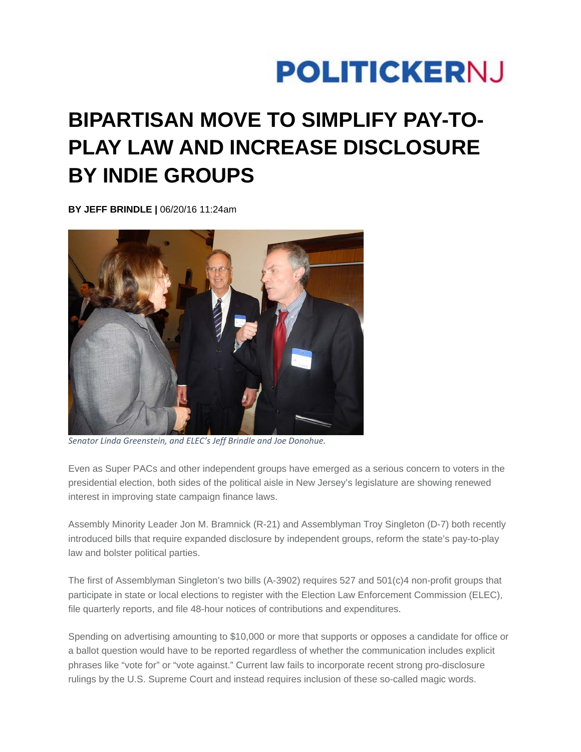## **POLITICKERNJ**

## **BIPARTISAN MOVE TO SIMPLIFY PAY-TO-PLAY LAW AND INCREASE DISCLOSURE BY INDIE GROUPS**

**BY JEFF BRINDLE |** 06/20/16 11:24am



*Senator Linda Greenstein, and ELEC's Jeff Brindle and Joe Donohue.*

Even as Super PACs and other independent groups have emerged as a serious concern to voters in the presidential election, both sides of the political aisle in New Jersey's legislature are showing renewed interest in improving state campaign finance laws.

Assembly Minority Leader Jon M. Bramnick (R-21) and Assemblyman Troy Singleton (D-7) both recently introduced bills that require expanded disclosure by independent groups, reform the state's pay-to-play law and bolster political parties.

The first of Assemblyman Singleton's two bills (A-3902) requires 527 and 501(c)4 non-profit groups that participate in state or local elections to register with the Election Law Enforcement Commission (ELEC), file quarterly reports, and file 48-hour notices of contributions and expenditures.

Spending on advertising amounting to \$10,000 or more that supports or opposes a candidate for office or a ballot question would have to be reported regardless of whether the communication includes explicit phrases like "vote for" or "vote against." Current law fails to incorporate recent strong pro-disclosure rulings by the U.S. Supreme Court and instead requires inclusion of these so-called magic words.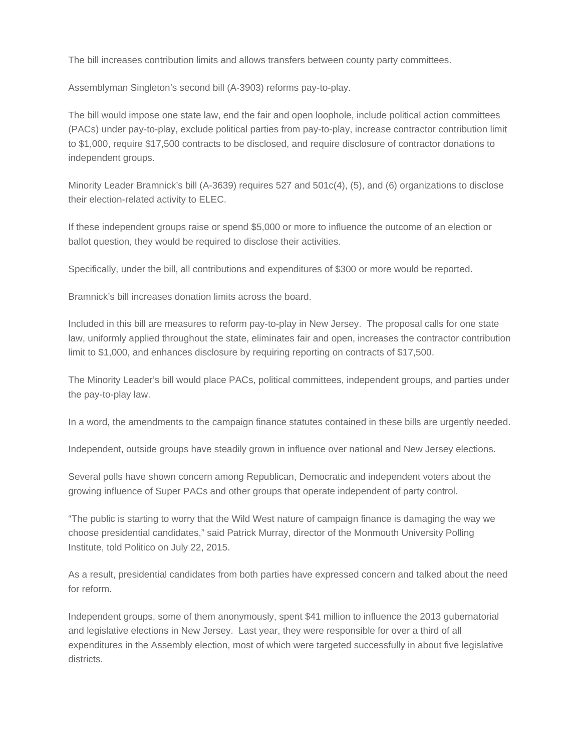The bill increases contribution limits and allows transfers between county party committees.

Assemblyman Singleton's second bill (A-3903) reforms pay-to-play.

The bill would impose one state law, end the fair and open loophole, include political action committees (PACs) under pay-to-play, exclude political parties from pay-to-play, increase contractor contribution limit to \$1,000, require \$17,500 contracts to be disclosed, and require disclosure of contractor donations to independent groups.

Minority Leader Bramnick's bill (A-3639) requires 527 and 501c(4), (5), and (6) organizations to disclose their election-related activity to ELEC.

If these independent groups raise or spend \$5,000 or more to influence the outcome of an election or ballot question, they would be required to disclose their activities.

Specifically, under the bill, all contributions and expenditures of \$300 or more would be reported.

Bramnick's bill increases donation limits across the board.

Included in this bill are measures to reform pay-to-play in New Jersey. The proposal calls for one state law, uniformly applied throughout the state, eliminates fair and open, increases the contractor contribution limit to \$1,000, and enhances disclosure by requiring reporting on contracts of \$17,500.

The Minority Leader's bill would place PACs, political committees, independent groups, and parties under the pay-to-play law.

In a word, the amendments to the campaign finance statutes contained in these bills are urgently needed.

Independent, outside groups have steadily grown in influence over national and New Jersey elections.

Several polls have shown concern among Republican, Democratic and independent voters about the growing influence of Super PACs and other groups that operate independent of party control.

"The public is starting to worry that the Wild West nature of campaign finance is damaging the way we choose presidential candidates," said Patrick Murray, director of the Monmouth University Polling Institute, told Politico on July 22, 2015.

As a result, presidential candidates from both parties have expressed concern and talked about the need for reform.

Independent groups, some of them anonymously, spent \$41 million to influence the 2013 gubernatorial and legislative elections in New Jersey. Last year, they were responsible for over a third of all expenditures in the Assembly election, most of which were targeted successfully in about five legislative districts.